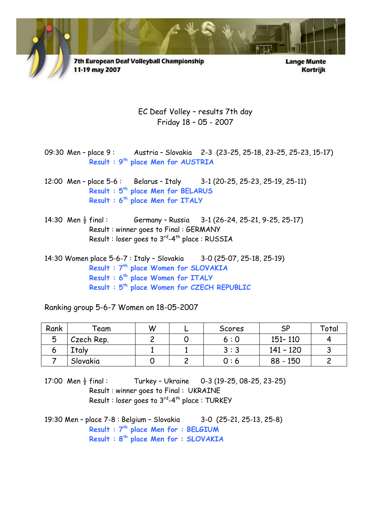

7th European Deaf Volleyball Championship 11-19 may 2007

**Lange Munte** Kortrijk

EC Deaf Volley – results 7th day Friday 18 – 05 - 2007

09:30 Men - place 9: Austria - Slovakia 2-3 (23-25, 25-18, 23-25, 25-23, 15-17) Result : 9<sup>th</sup> place Men for AUSTRIA

- 12:00 Men place 5-6 : Belarus Italy 3-1 (20-25, 25-23, 25-19, 25-11) Result : 5<sup>th</sup> place Men for BELARUS Result : 6<sup>th</sup> place Men for ITALY
- 14:30 Men  $\frac{1}{2}$  final : Germany Russia 3-1 (26-24, 25-21, 9-25, 25-17) Result : winner goes to Final : GERMANY Result : loser goes to 3<sup>rd</sup>-4<sup>th</sup> place : RUSSIA

14:30 Women place 5-6-7 : Italy – Slovakia 3-0 (25-07, 25-18, 25-19) Result : 7<sup>th</sup> place Women for SLOVAKIA Result : 6<sup>th</sup> place Women for ITALY Result : 5th place Women for CZECH REPUBLIC

Ranking group 5-6-7 Women on 18-05-2007

| Rank | `eam       | W | ∽ | Scores | SP        | Total |
|------|------------|---|---|--------|-----------|-------|
| 5    | Czech Rep. |   |   | 6 : 0  | 151 - 110 |       |
|      | Ttaly      |   |   | 3:3    | 141 - 120 |       |
|      | Slovakia   |   |   | 0 : 6  | 88 - 150  |       |

17:00 Men  $\frac{1}{2}$  final : Turkey - Ukraine 0-3 (19-25, 08-25, 23-25) Result : winner goes to Final : UKRAINE Result : loser goes to 3<sup>rd</sup>-4<sup>th</sup> place : TURKEY

19:30 Men – place 7-8 : Belgium – Slovakia 3-0 (25-21, 25-13, 25-8) Result :  $7<sup>th</sup>$  place Men for : BELGIUM Result : 8th place Men for : SLOVAKIA